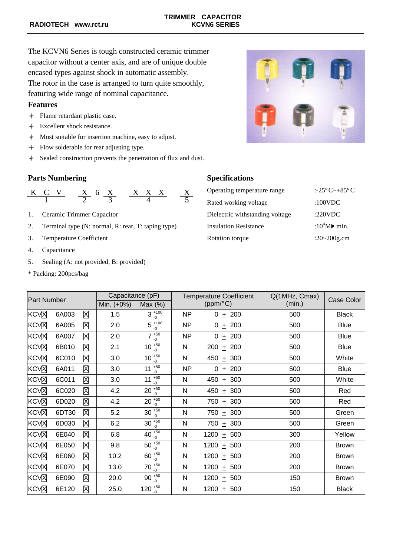The KCVN6 Series is tough constructed ceramic trimmer capacitor without a center axis, and are of unique double encased types against shock in automatic assembly. The rotor in the case is arranged to turn quite smoothly, featuring wide range of nominal capacitance.

### **Features**

- $+$  Flame retardant plastic case.
- + Excellent shock resistance.
- $\div$  Most suitable for insertion machine, easy to adjust.
- $\div$  Flow solderable for rear adjusting type.
- + Sealed construction prevents the penetration of flux and dust.

## **Parts Numbering Specifications**

$$
\begin{array}{c|cc}\nK & C & V \\
\hline\n1 & 2 & 6 \\
\hline\n\end{array}\n\quad\n\begin{array}{c|cc}\nX & X & X \\
\hline\n3 & 4 & 5\n\end{array}\n\quad\n\begin{array}{c|cc}\n\text{Operating temperature range} & \text{:-25°C}\n\end{array}\n\quad\n\begin{array}{c}\n\text{--}485^{\circ}\text{C} \\
\hline\n\end{array}
$$

- 1. Ceramic Trimmer Capacitor
- 2. Terminal type (N: normal, R: rear, T: taping type)
- 3. Temperature Coefficient
- 4. Capacitance
- 5. Sealing (A: not provided, B: provided)
- \* Packing: 200pcs/bag



| C V                                                | $X$ 6 X                        | X X X |                 | Operating temperature range     | :-25 $\degree$ C~+85 $\degree$ C      |
|----------------------------------------------------|--------------------------------|-------|-----------------|---------------------------------|---------------------------------------|
|                                                    |                                |       |                 | Rated working voltage           | :100 $VDC$                            |
| Ceramic Trimmer Capacitor                          |                                |       |                 | Dielectric withstanding voltage | :220VDC                               |
| Ferminal type (N: normal, R: rear, T: taping type) |                                |       |                 | <b>Insulation Resistance</b>    | : $10^4$ M $\blacktriangleright$ min. |
|                                                    | <b>Temperature Coefficient</b> |       | Rotation torque | :20~200g.cm                     |                                       |

| <b>Part Number</b>      |       | Capacitance (pF) |            | <b>Temperature Coefficient</b> |           | Q(1MHz, Cmax)    | Case Color |              |
|-------------------------|-------|------------------|------------|--------------------------------|-----------|------------------|------------|--------------|
|                         |       | Min. (+0%)       | Max $(\%)$ | (ppm/°C)                       |           | (min.)           |            |              |
| KCV <sub>N</sub>        | 6A003 | Χ                | 1.5        | $3^{+100}$<br>$-0$             | NP        | $0 + 200$        | 500        | <b>Black</b> |
| <b>KCVX</b>             | 6A005 | Χ                | 2.0        | $5^{+100}$<br>$-0$             | NP        | $\pm 200$<br>0   | 500        | <b>Blue</b>  |
| <b>KCV</b> <sub>X</sub> | 6A007 | Χ                | 2.0        | $7^{+50}$<br>$-0$              | <b>NP</b> | 0<br>$\pm$ 200   | 500        | <b>Blue</b>  |
| <b>KCV</b> <sub>N</sub> | 6B010 | Χ                | 2.1        | $10^{+50}$<br>$-0$             | N         | 200<br>$±$ 200   | 500        | <b>Blue</b>  |
| KCVX                    | 6C010 | Χ                | 3.0        | $10^{+50}$<br>$-0$             | N         | 450<br>$\pm$ 300 | 500        | White        |
| <b>KCVX</b>             | 6A011 | Χ                | 3.0        | $+50$<br>11<br>$-0$            | <b>NP</b> | 0<br>$±$ 200     | 500        | <b>Blue</b>  |
| <b>KCV</b> <sub>X</sub> | 6C011 | Χ                | 3.0        | $+50$<br>11<br>$-0$            | N         | 450<br>± 300     | 500        | White        |
| <b>KCV</b> <sub>X</sub> | 6C020 | Χ                | 4.2        | $20 \frac{150}{6}$<br>$-0$     | N         | 450<br>± 300     | 500        | Red          |
| <b>KCV</b> <sub>N</sub> | 6D020 | Χ                | 4.2        | $20^{+50}$<br>$-0$             | N         | 750<br>$\pm$ 300 | 500        | Red          |
| KCVX                    | 6DT30 | Χ                | 5.2        | $30\frac{150}{6}$<br>$-0$      | N         | 750<br>$\pm$ 300 | 500        | Green        |
| <b>KCV</b> <sub>X</sub> | 6D030 | Χ                | 6.2        | $30^{+50}_{-0}$                | N         | $750 + 300$      | 500        | Green        |
| KCV <sub>N</sub>        | 6E040 | X                | 6.8        | 40 $^{+50}_{-0}$               | N         | 1200 $\pm$ 500   | 300        | Yellow       |
| KCV <sub>N</sub>        | 6E050 | Χ                | 9.8        | $50^{+50}_{-0}$                | N         | 1200 $\pm$ 500   | 200        | <b>Brown</b> |
| KCVX                    | 6E060 | Χ                | 10.2       | $60\frac{+50}{6}$<br>$-0$      | N         | 1200 $\pm$ 500   | 200        | <b>Brown</b> |
| KCVX                    | 6E070 | Χ                | 13.0       | $70^{+50}$<br>$-0$             | N         | 1200<br>± 500    | 200        | <b>Brown</b> |
| <b>KCVX</b>             | 6E090 | Χ                | 20.0       | 90 $^{+50}_{.}$<br>$-0$        | N         | $1200 + 500$     | 150        | <b>Brown</b> |
| KCVX                    | 6E120 | Χ                | 25.0       | 120 $^{+50}_{-0}$              | N         | 1200 $\pm$ 500   | 150        | <b>Black</b> |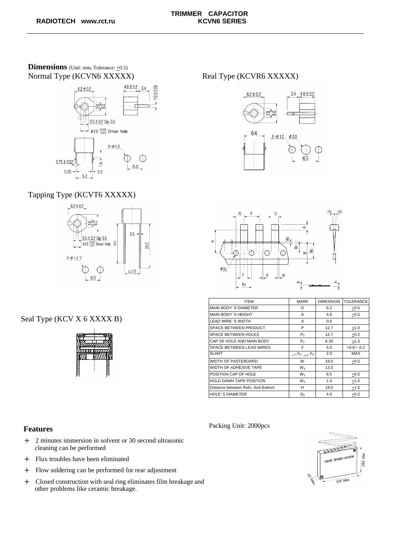### **Dimensions** (Unit: mm, Tolerance:  $\pm$ 0.5) Normal Type (KCVN6 XXXXX) Real Type (KCVR6 XXXXX)



# Tapping Type (KCVT6 XXXXX)



# Seal Type (KCV X 6 XXXX B)







| <b>ITEM</b>                       | <b>MARK</b>                                             | <b>DIMENSION</b> | <b>TOLERANCE</b> |
|-----------------------------------|---------------------------------------------------------|------------------|------------------|
| MAIN BODY'S DIAMETER              | D                                                       | 6.2              | $+0.5$           |
| MAIN BODY'S HEIGHT                | A                                                       | 4.8              | $+0.5$           |
| <b>LEAD WIRE'S WIDTH</b>          | d                                                       | 0.6              |                  |
| SPACE BETWEEN PRODUCT             | P                                                       | 12.7             | $+1.0$           |
| <b>SPACE BETWEEN HOLES</b>        | $P_0$                                                   | 12.7             | $+0.2$           |
| CAP OF HOLE AND MAIN BODY         | P <sub>2</sub>                                          | 6.35             | $+1.3$           |
| SPACE BETWEEN LEAD WIRES          | F                                                       | 5.0              | $+0.8 / -0.2$    |
| <b>SLANT</b>                      | $\triangle$ h <sub>1</sub> , $\triangle$ h <sub>2</sub> | 2.0              | <b>MAX</b>       |
| <b>WIDTH OF PASTEBOARD</b>        | W                                                       | 18.0             | $+0.5$           |
| WIDTH OF ADHESIVE TAPE            | W <sub>0</sub>                                          | 13.0             |                  |
| POSITION CAP OF HOLE              | $W_1$                                                   | 8.5              | $+0.5$           |
| <b>HOLD DAWN TAPE POSITION</b>    | W <sub>2</sub>                                          | 1.0              | $+1.5$           |
| Distance between Refn. And Bottom | н                                                       | 19.0             | $+1.5$           |
| <b>HOLE'S DIAMETER</b>            | $D_0$                                                   | 4.0              | $+0.2$           |

Packing Unit: 2000pcs

### **Features**

- $+$  2 minutes immersion in solvent or 30 second ultrasonic cleaning can be performed
- $\div$  Flux troubles have been eliminated
- l Flow soldering can be performed for rear adjustment
- l Closed construction with seal ring eliminates film breakage and other problems like ceramic breakage.